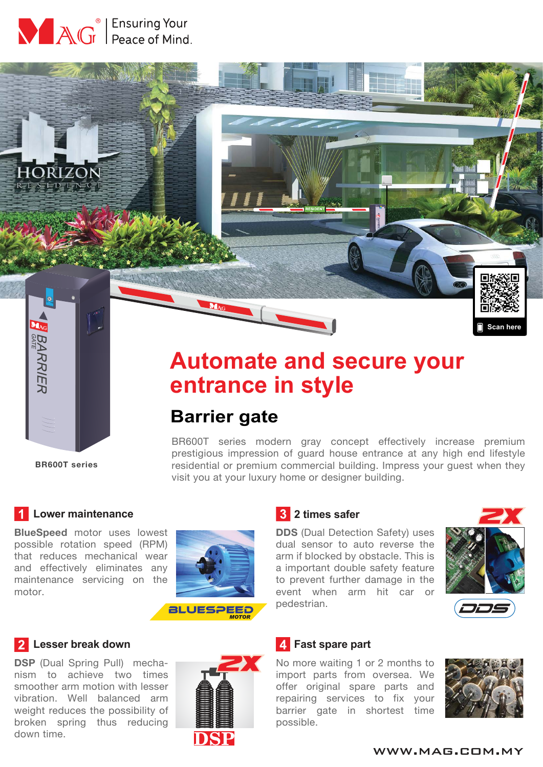



## **BR600T series**

**BARRIER** 

# **Automate and secure your entrance in style**

## **Barrier gate**

BR600T series modern gray concept effectively increase premium prestigious impression of guard house entrance at any high end lifestyle residential or premium commercial building. Impress your guest when they visit you at your luxury home or designer building.

#### **Lower maintenance**

**BlueSpeed** motor uses lowest possible rotation speed (RPM) that reduces mechanical wear and effectively eliminates any maintenance servicing on the motor.



#### **2** Lesser break down

**DSP** (Dual Spring Pull) mechanism to achieve two times smoother arm motion with lesser vibration. Well balanced arm weight reduces the possibility of broken spring thus reducing down time.



#### **2 times safer**

**DDS** (Dual Detection Safety) uses dual sensor to auto reverse the arm if blocked by obstacle. This is a important double safety feature to prevent further damage in the event when arm hit car or pedestrian.



**Scan here**

#### *L* Fast spare part

No more waiting 1 or 2 months to import parts from oversea. We offer original spare parts and repairing services to fix your barrier gate in shortest time possible.



#### www.mag.com.my